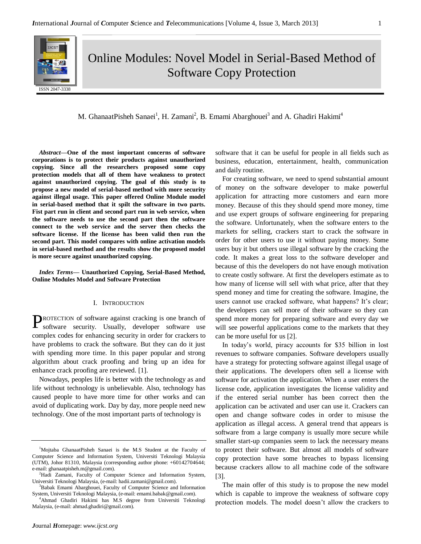

Online Modules: Novel Model in Serial-Based Method of Software Copy Protection

M. GhanaatPisheh Sanaei<sup>1</sup>, H. Zamani<sup>2</sup>, B. Emami Abarghouei<sup>3</sup> and A. Ghadiri Hakimi<sup>4</sup>

*Abstract***—One of the most important concerns of software corporations is to protect their products against unauthorized copying. Since all the researchers proposed some copy protection models that all of them have weakness to protect against unauthorized copying. The goal of this study is to propose a new model of serial-based method with more security against illegal usage. This paper offered Online Module model in serial-based method that it spilt the software in two parts. Fist part run in client and second part run in web service, when the software needs to use the second part then the software connect to the web service and the server then checks the software license. If the license has been valid then run the second part. This model compares with online activation models in serial-based method and the results show the proposed model is more secure against unauthorized copying.**

*Index Terms***— Unauthorized Copying, Serial-Based Method, Online Modules Model and Software Protection**

# I. INTRODUCTION

PROTECTION of software against cracking is one branch of software security. Usually, developer software use software security. Usually, developer software use complex codes for enhancing security in order for crackers to have problems to crack the software. But they can do it just with spending more time. In this paper popular and strong algorithm about crack proofing and bring up an idea for enhance crack proofing are reviewed. [1].

Nowadays, peoples life is better with the technology as and life without technology is unbelievable. Also, technology has caused people to have more time for other works and can avoid of duplicating work. Day by day, more people need new technology. One of the most important parts of technology is

software that it can be useful for people in all fields such as business, education, entertainment, health, communication and daily routine.

For creating software, we need to spend substantial amount of money on the software developer to make powerful application for attracting more customers and earn more money. Because of this they should spend more money, time and use expert groups of software engineering for preparing the software. Unfortunately, when the software enters to the markets for selling, crackers start to crack the software in order for other users to use it without paying money. Some users buy it but others use illegal software by the cracking the code. It makes a great loss to the software developer and because of this the developers do not have enough motivation to create costly software. At first the developers estimate as to how many of license will sell with what price, after that they spend money and time for creating the software. Imagine, the users cannot use cracked software, what happens? It's clear; the developers can sell more of their software so they can spend more money for preparing software and every day we will see powerful applications come to the markets that they can be more useful for us [2].

In today's world, piracy accounts for \$35 billion in lost revenues to software companies. Software developers usually have a strategy for protecting software against illegal usage of their applications. The developers often sell a license with software for activation the application. When a user enters the license code, application investigates the license validity and if the entered serial number has been correct then the application can be activated and user can use it. Crackers can open and change software codes in order to misuse the application as illegal access. A general trend that appears is software from a large company is usually more secure while smaller start-up companies seem to lack the necessary means to protect their software. But almost all models of software copy protection have some breaches to bypass licensing because crackers allow to all machine code of the software [3].

The main offer of this study is to propose the new model which is capable to improve the weakness of software copy protection models. The model doesn't allow the crackers to

<sup>&</sup>lt;sup>1</sup>Mojtaba GhanaatPisheh Sanaei is the M.S Student at the Faculty of Computer Science and Information System, Universiti Teknologi Malaysia (UTM), Johor 81310, Malaysia (corresponding author phone: +60142704644; e-mail: ghanaatpisheh.m@gmail.com).

<sup>&</sup>lt;sup>2</sup>Hadi Zamani, Faculty of Computer Science and Information System, Universiti Teknologi Malaysia, (e-mail: hadii.zamani@gmail.com).

<sup>&</sup>lt;sup>3</sup>Babak Emami Abarghouei, Faculty of Computer Science and Information System, Universiti Teknologi Malaysia, (e-mail: emami.babak@gmail.com).

<sup>&</sup>lt;sup>4</sup>Ahmad Ghadiri Hakimi has M.S degree from Universiti Teknologi Malaysia, (e-mail: ahmad.ghadiri@gmail.com).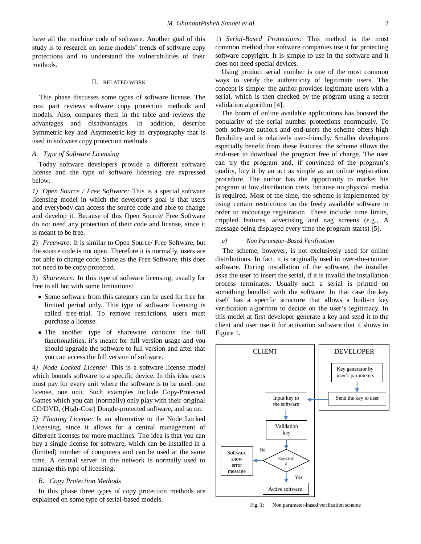have all the machine code of software. Another goal of this study is to research on some models' trends of software copy protections and to understand the vulnerabilities of their methods.

### II. RELATED WORK

This phase discusses some types of software license. The next part reviews software copy protection methods and models. Also, compares them in the table and reviews the advantages and disadvantages. In addition, describe Symmetric-key and Asymmetric-key in cryptography that is used in software copy protection methods.

# *A. Type of Software Licensing*

Today software developers provide a different software license and the type of software licensing are expressed below.

*1) Open Source / Free Software:* This is a special software licensing model in which the developer's goal is that users and everybody can access the source code and able to change and develop it. Because of this Open Source/ Free Software do not need any protection of their code and license, since it is meant to be free.

2) *Freeware:* It is similar to Open Source/ Free Software, but the source code is not open. Therefore it is normally, users are not able to change code. Same as the Free Software, this does not need to be copy-protected.

3) *Shareware:* In this type of software licensing, usually for free to all but with some limitations:

- Some software from this category can be used for free for limited period only. This type of software licensing is called free-trial. To remove restrictions, users must purchase a license.
- The another type of shareware contains the full functionalities, it's meant for full version usage and you should upgrade the software to full version and after that you can access the full version of software.

*4) Node Locked License:* This is a software license model which bounds software to a specific device. In this idea users must pay for every unit where the software is to be used: one license, one unit. Such examples include Copy-Protected Games which you can (normally) only play with their original CD/DVD, (High-Cost) Dongle-protected software, and so on.

*5) Floating License:* Is an alternative to the Node Locked Licensing, since it allows for a central management of different licenses for more machines. The idea is that you can buy a single license for software, which can be installed in a (limited) number of computers and can be used at the same time. A central server in the network is normally used to manage this type of licensing.

# *B. Copy Protection Methods*

In this phase three types of copy protection methods are explained on some type of serial-based models.

1) *Serial-Based Protections:* This method is the most common method that software companies use it for protecting software copyright. It is simple to use in the software and it does not need special devices.

Using product serial number is one of the most common ways to verify the authenticity of legitimate users. The concept is simple: the author provides legitimate users with a serial, which is then checked by the program using a secret validation algorithm [4].

The boom of online available applications has boosted the popularity of the serial number protections enormously. To both software authors and end-users the scheme offers high flexibility and is relatively user-friendly. Smaller developers especially benefit from these features: the scheme allows the end-user to download the program free of charge. The user can try the program and, if convinced of the program's quality, buy it by an act as simple as an online registration procedure. The author has the opportunity to market his program at low distribution costs, because no physical media is required. Most of the time, the scheme is implemented by using certain restrictions on the freely available software in order to encourage registration. These include: time limits, crippled features, advertising and nag screens (e.g., A message being displayed every time the program starts) [5].

### *a) Non Parameter-Based Verification*

The scheme, however, is not exclusively used for online distributions. In fact, it is originally used in over-the-counter software. During installation of the software, the installer asks the user to insert the serial, if it is invalid the installation process terminates. Usually such a serial is printed on something bundled with the software. In that case the key itself has a specific structure that allows a built-in key verification algorithm to decide on the user's legitimacy. In this model at first developer generate a key and send it to the client and user use it for activation software that it shows in Figure 1.



Fig. 1: Non parameter-based verification scheme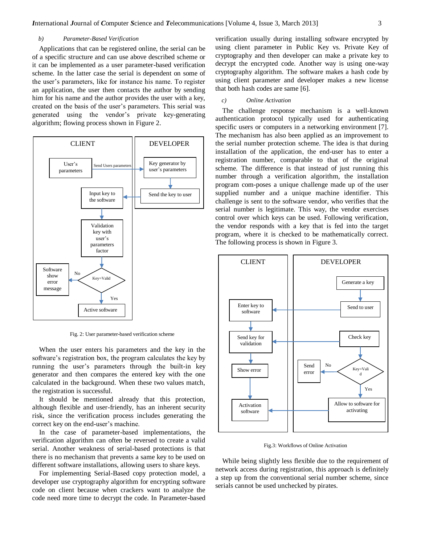# *b) Parameter-Based Verification*

Applications that can be registered online, the serial can be of a specific structure and can use above described scheme or it can be implemented as a user parameter-based verification scheme. In the latter case the serial is dependent on some of the user's parameters, like for instance his name. To register an application, the user then contacts the author by sending him for his name and the author provides the user with a key, created on the basis of the user's parameters. This serial was generated using the vendor's private key-generating algorithm; flowing process shown in Figure 2.



Fig. 2: User parameter-based verification scheme

When the user enters his parameters and the key in the software's registration box, the program calculates the key by running the user's parameters through the built-in key generator and then compares the entered key with the one calculated in the background. When these two values match, the registration is successful.

It should be mentioned already that this protection, although flexible and user-friendly, has an inherent security risk, since the verification process includes generating the correct key on the end-user's machine.

In the case of parameter-based implementations, the verification algorithm can often be reversed to create a valid serial. Another weakness of serial-based protections is that there is no mechanism that prevents a same key to be used on different software installations, allowing users to share keys.

For implementing Serial-Based copy protection model, a developer use cryptography algorithm for encrypting software code on client because when crackers want to analyze the code need more time to decrypt the code. In Parameter-based verification usually during installing software encrypted by using client parameter in Public Key vs. Private Key of cryptography and then developer can make a private key to decrypt the encrypted code. Another way is using one-way cryptography algorithm. The software makes a hash code by using client parameter and developer makes a new license that both hash codes are same [6].

### *c) Online Activation*

The challenge response mechanism is a well-known authentication protocol typically used for authenticating specific users or computers in a networking environment [7]. The mechanism has also been applied as an improvement to the serial number protection scheme. The idea is that during installation of the application, the end-user has to enter a registration number, comparable to that of the original scheme. The difference is that instead of just running this number through a verification algorithm, the installation program com-poses a unique challenge made up of the user supplied number and a unique machine identifier. This challenge is sent to the software vendor, who verifies that the serial number is legitimate. This way, the vendor exercises control over which keys can be used. Following verification, the vendor responds with a key that is fed into the target program, where it is checked to be mathematically correct. The following process is shown in Figure 3.



Fig.3: Workflows of Online Activation

While being slightly less flexible due to the requirement of network access during registration, this approach is definitely a step up from the conventional serial number scheme, since serials cannot be used unchecked by pirates.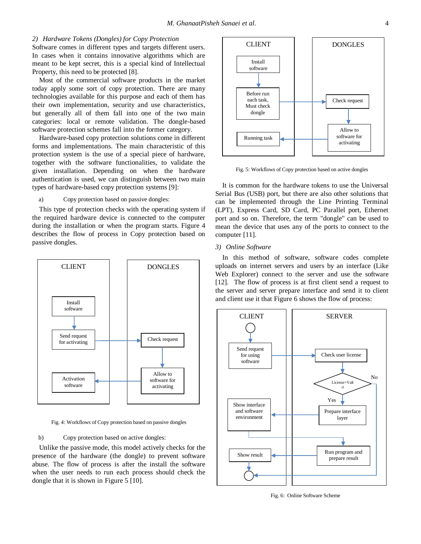### *2) Hardware Tokens (Dongles) for Copy Protection*

Software comes in different types and targets different users. In cases when it contains innovative algorithms which are meant to be kept secret, this is a special kind of Intellectual Property, this need to be protected [8].

Most of the commercial software products in the market today apply some sort of copy protection. There are many technologies available for this purpose and each of them has their own implementation, security and use characteristics, but generally all of them fall into one of the two main categories: local or remote validation. The dongle-based software protection schemes fall into the former category.

Hardware-based copy protection solutions come in different forms and implementations. The main characteristic of this protection system is the use of a special piece of hardware, together with the software functionalities, to validate the given installation. Depending on when the hardware authentication is used, we can distinguish between two main types of hardware-based copy protection systems [9]:

### a) Copy protection based on passive dongles:

This type of protection checks with the operating system if the required hardware device is connected to the computer during the installation or when the program starts. Figure 4 describes the flow of process in Copy protection based on passive dongles.



Fig. 4: Workflows of Copy protection based on passive dongles

# b) Copy protection based on active dongles:

Unlike the passive mode, this model actively checks for the presence of the hardware (the dongle) to prevent software abuse. The flow of process is after the install the software when the user needs to run each process should check the dongle that it is shown in Figure 5 [10].



Fig. 5: Workflows of Copy protection based on active dongles

It is common for the hardware tokens to use the Universal Serial Bus (USB) port, but there are also other solutions that can be implemented through the Line Printing Terminal (LPT), Express Card, SD Card, PC Parallel port, Ethernet port and so on. Therefore, the term "dongle" can be used to mean the device that uses any of the ports to connect to the computer [11].

### *3) Online Software*

In this method of software, software codes complete uploads on internet servers and users by an interface (Like Web Explorer) connect to the server and use the software [12]. The flow of process is at first client send a request to the server and server prepare interface and send it to client and client use it that Figure 6 shows the flow of process:



Fig. 6: Online Software Scheme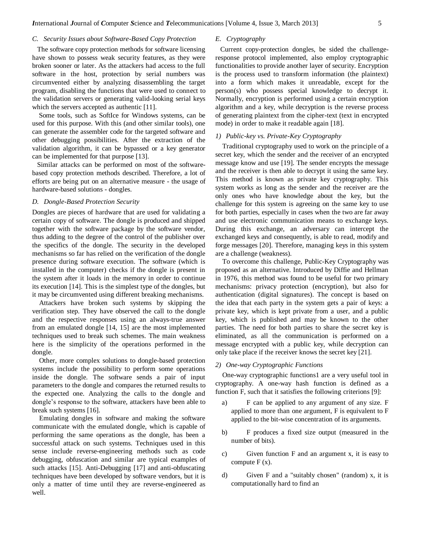### *C. Security Issues about Software-Based Copy Protection*

The software copy protection methods for software licensing have shown to possess weak security features, as they were broken sooner or later. As the attackers had access to the full software in the host, protection by serial numbers was circumvented either by analyzing disassembling the target program, disabling the functions that were used to connect to the validation servers or generating valid-looking serial keys which the servers accepted as authentic [11].

Some tools, such as SoftIce for Windows systems, can be used for this purpose. With this (and other similar tools), one can generate the assembler code for the targeted software and other debugging possibilities. After the extraction of the validation algorithm, it can be bypassed or a key generator can be implemented for that purpose [13].

Similar attacks can be performed on most of the softwarebased copy protection methods described. Therefore, a lot of efforts are being put on an alternative measure - the usage of hardware-based solutions - dongles.

# *D. Dongle-Based Protection Security*

Dongles are pieces of hardware that are used for validating a certain copy of software. The dongle is produced and shipped together with the software package by the software vendor, thus adding to the degree of the control of the publisher over the specifics of the dongle. The security in the developed mechanisms so far has relied on the verification of the dongle presence during software execution. The software (which is installed in the computer) checks if the dongle is present in the system after it loads in the memory in order to continue its execution [14]. This is the simplest type of the dongles, but it may be circumvented using different breaking mechanisms.

Attackers have broken such systems by skipping the verification step. They have observed the call to the dongle and the respective responses using an always-true answer from an emulated dongle [14, 15] are the most implemented techniques used to break such schemes. The main weakness here is the simplicity of the operations performed in the dongle.

Other, more complex solutions to dongle-based protection systems include the possibility to perform some operations inside the dongle. The software sends a pair of input parameters to the dongle and compares the returned results to the expected one. Analyzing the calls to the dongle and dongle's response to the software, attackers have been able to break such systems [16].

Emulating dongles in software and making the software communicate with the emulated dongle, which is capable of performing the same operations as the dongle, has been a successful attack on such systems. Techniques used in this sense include reverse-engineering methods such as code debugging, obfuscation and similar are typical examples of such attacks [15]. Anti-Debugging [17] and anti-obfuscating techniques have been developed by software vendors, but it is only a matter of time until they are reverse-engineered as well.

### *E. Cryptography*

Current copy-protection dongles, be sided the challengeresponse protocol implemented, also employ cryptographic functionalities to provide another layer of security. Encryption is the process used to transform information (the plaintext) into a form which makes it unreadable, except for the person(s) who possess special knowledge to decrypt it. Normally, encryption is performed using a certain encryption algorithm and a key, while decryption is the reverse process of generating plaintext from the cipher-text (text in encrypted mode) in order to make it readable again [18].

### *1) Public-key vs. Private-Key Cryptography*

Traditional cryptography used to work on the principle of a secret key, which the sender and the receiver of an encrypted message know and use [19]. The sender encrypts the message and the receiver is then able to decrypt it using the same key. This method is known as private key cryptography. This system works as long as the sender and the receiver are the only ones who have knowledge about the key, but the challenge for this system is agreeing on the same key to use for both parties, especially in cases when the two are far away and use electronic communication means to exchange keys. During this exchange, an adversary can intercept the exchanged keys and consequently, is able to read, modify and forge messages [20]. Therefore, managing keys in this system are a challenge (weakness).

To overcome this challenge, Public-Key Cryptography was proposed as an alternative. Introduced by Diffie and Hellman in 1976, this method was found to be useful for two primary mechanisms: privacy protection (encryption), but also for authentication (digital signatures). The concept is based on the idea that each party in the system gets a pair of keys: a private key, which is kept private from a user, and a public key, which is published and may be known to the other parties. The need for both parties to share the secret key is eliminated, as all the communication is performed on a message encrypted with a public key, while decryption can only take place if the receiver knows the secret key [21].

#### *2) One-way Cryptographic Functions*

One-way cryptographic functions1 are a very useful tool in cryptography. A one-way hash function is defined as a function F, such that it satisfies the following criterions [9]:

- a) F can be applied to any argument of any size. F applied to more than one argument, F is equivalent to F applied to the bit-wise concentration of its arguments.
- b) F produces a fixed size output (measured in the number of bits).
- c) Given function F and an argument x, it is easy to compute  $F(x)$ .
- d) Given F and a "suitably chosen" (random) x, it is computationally hard to find an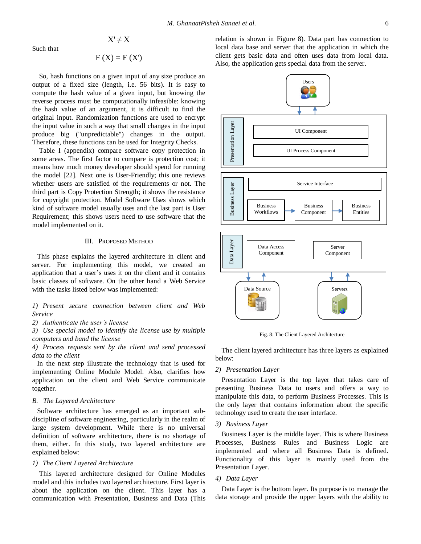Such that

$$
F(X) = F(X')
$$

 $X' \neq X$ 

So, hash functions on a given input of any size produce an output of a fixed size (length, i.e. 56 bits). It is easy to compute the hash value of a given input, but knowing the reverse process must be computationally infeasible: knowing the hash value of an argument, it is difficult to find the original input. Randomization functions are used to encrypt the input value in such a way that small changes in the input produce big ("unpredictable") changes in the output. Therefore, these functions can be used for Integrity Checks.

Table I (appendix) compare software copy protection in some areas. The first factor to compare is protection cost; it means how much money developer should spend for running the model [22]. Next one is User-Friendly; this one reviews whether users are satisfied of the requirements or not. The third part is Copy Protection Strength; it shows the resistance for copyright protection. Model Software Uses shows which kind of software model usually uses and the last part is User Requirement; this shows users need to use software that the model implemented on it.

# III. PROPOSED METHOD

This phase explains the layered architecture in client and server. For implementing this model, we created an application that a user's uses it on the client and it contains basic classes of software. On the other hand a Web Service with the tasks listed below was implemented:

*1) Present secure connection between client and Web Service*

*2) Authenticate the user's license*

*3) Use special model to identify the license use by multiple computers and band the license*

*4) Process requests sent by the client and send processed data to the client*

In the next step illustrate the technology that is used for implementing Online Module Model. Also, clarifies how application on the client and Web Service communicate together.

### *B. The Layered Architecture*

Software architecture has emerged as an important subdiscipline of software engineering, particularly in the realm of large system development. While there is no universal definition of software architecture, there is no shortage of them, either. In this study, two layered architecture are explained below:

# *1) The Client Layered Architecture*

This layered architecture designed for Online Modules model and this includes two layered architecture. First layer is about the application on the client. This layer has a communication with Presentation, Business and Data (This

relation is shown in Figure 8). Data part has connection to local data base and server that the application in which the client gets basic data and often uses data from local data. Also, the application gets special data from the server.



Fig. 8: The Client Layered Architecture

The client layered architecture has three layers as explained below:

# *2) Presentation Layer*

Presentation Layer is the top layer that takes care of presenting Business Data to users and offers a way to manipulate this data, to perform Business Processes. This is the only layer that contains information about the specific technology used to create the user interface.

# *3) Business Layer*

Business Layer is the middle layer. This is where Business Processes, Business Rules and Business Logic are implemented and where all Business Data is defined. Functionality of this layer is mainly used from the Presentation Layer.

### *4) Data Layer*

Data Layer is the bottom layer. Its purpose is to manage the data storage and provide the upper layers with the ability to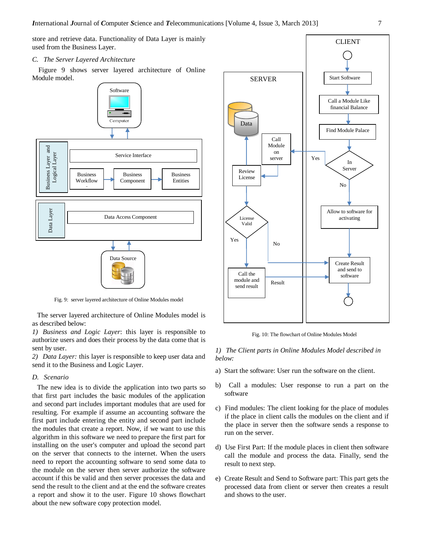store and retrieve data. Functionality of Data Layer is mainly used from the Business Layer.

# *C. The Server Layered Architecture*

Figure 9 shows server layered architecture of Online Module model.



Fig. 9: server layered architecture of Online Modules model

The server layered architecture of Online Modules model is as described below:

*1) Business and Logic Layer*: this layer is responsible to authorize users and does their process by the data come that is sent by user.

*2) Data Layer:* this layer is responsible to keep user data and send it to the Business and Logic Layer.

## *D. Scenario*

The new idea is to divide the application into two parts so that first part includes the basic modules of the application and second part includes important modules that are used for resulting. For example if assume an accounting software the first part include entering the entity and second part include the modules that create a report. Now, if we want to use this algorithm in this software we need to prepare the first part for installing on the user's computer and upload the second part on the server that connects to the internet. When the users need to report the accounting software to send some data to the module on the server then server authorize the software account if this be valid and then server processes the data and send the result to the client and at the end the software creates a report and show it to the user. Figure 10 shows flowchart about the new software copy protection model.



Fig. 10: The flowchart of Online Modules Model

*1) The Client parts in Online Modules Model described in below:*

- a) Start the software: User run the software on the client.
- b) Call a modules: User response to run a part on the software
- c) Find modules: The client looking for the place of modules if the place in client calls the modules on the client and if the place in server then the software sends a response to run on the server.
- d) Use First Part: If the module places in client then software call the module and process the data. Finally, send the result to next step.
- e) Create Result and Send to Software part: This part gets the processed data from client or server then creates a result and shows to the user.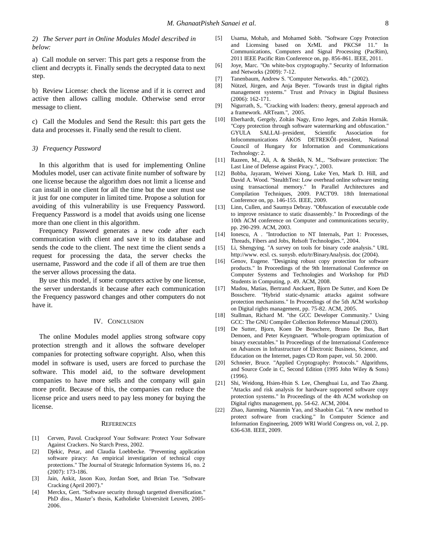### *2) The Server part in Online Modules Model described in below:*

a) Call module on server: This part gets a response from the client and decrypts it. Finally sends the decrypted data to next step.

b) Review License: check the license and if it is correct and active then allows calling module. Otherwise send error message to client.

c) Call the Modules and Send the Result: this part gets the data and processes it. Finally send the result to client.

### *3) Frequency Password*

In this algorithm that is used for implementing Online Modules model, user can activate finite number of software by one license because the algorithm does not limit a license and can install in one client for all the time but the user must use it just for one computer in limited time. Propose a solution for avoiding of this vulnerability is use Frequency Password. Frequency Password is a model that avoids using one license more than one client in this algorithm.

Frequency Password generates a new code after each communication with client and save it to its database and sends the code to the client. The next time the client sends a request for processing the data, the server checks the username, Password and the code if all of them are true then the server allows processing the data.

By use this model, if some computers active by one license, the server understands it because after each communication the Frequency password changes and other computers do not have it.

### IV. CONCLUSION

The online Modules model applies strong software copy protection strength and it allows the software developer companies for protecting software copyright. Also, when this model in software is used, users are forced to purchase the software. This model aid, to the software development companies to have more sells and the company will gain more profit. Because of this, the companies can reduce the license price and users need to pay less money for buying the license.

#### **REFERENCES**

- [1] Cerven, Pavol. Crackproof Your Software: Protect Your Software Against Crackers. No Starch Press, 2002.
- [2] Djekic, Petar, and Claudia Loebbecke. "Preventing application software piracy: An empirical investigation of technical copy protections." The Journal of Strategic Information Systems 16, no. 2 (2007): 173-186.
- [3] Jain, Ankit, Jason Kuo, Jordan Soet, and Brian Tse. "Software Cracking (April 2007)."
- [4] Merckx, Gert. "Software security through targetted diversification." PhD diss., Master's thesis, Katholieke Universiteit Leuven, 2005- 2006.
- [5] Usama, Mohab, and Mohamed Sobh. "Software Copy Protection and Licensing based on XrML and PKCS# 11." Communications, Computers and Signal Processing (PacRim), 2011 IEEE Pacific Rim Conference on, pp. 856-861. IEEE, 2011.
- [6] Joye, Marc. "On white-box cryptography." Security of Information and Networks (2009): 7-12.
- [7] Tanenbaum, Andrew S. "Computer Networks. 4th." (2002).
- [8] Nützel, Jürgen, and Anja Beyer. "Towards trust in digital rights management systems." Trust and Privacy in Digital Business (2006): 162-171.
- [9] Nigurrath, S,. "Cracking with loaders: theory, general approach and a framework. ARTeam.", 2005.
- [10] Eberhardt, Gergely, Zoltán Nagy, Erno Jeges, and Zoltán Hornák. "Copy protection through software watermarking and obfuscation." GYULA SALLAI–president, Scientific Association for Infocommunications ÁKOS DETREKÔI–president, National Council of Hungary for Information and Communications Technology: 2.
- [11] Razeen, M., Ali, A. & Sheikh, N. M.,. "Software protection: The Last Line of Defense against Piracy.", 2003.
- [12] Bobba, Jayaram, Weiwei Xiong, Luke Yen, Mark D. Hill, and David A. Wood. "StealthTest: Low overhead online software testing using transactional memory." In Parallel Architectures and Compilation Techniques, 2009. PACT'09. 18th International Conference on, pp. 146-155. IEEE, 2009.
- [13] Linn, Cullen, and Saumya Debray. "Obfuscation of executable code to improve resistance to static disassembly." In Proceedings of the 10th ACM conference on Computer and communications security, pp. 290-299. ACM, 2003.
- [14] Ionescu, A. "Introduction to NT Internals, Part 1: Processes, Threads, Fibers and Jobs, Relsoft Technologies.", 2004.
- [15] Li, Shengying. "A survey on tools for binary code analysis." URL http://www. ecsl. cs. sunysb. edu/tr/BinaryAnalysis. doc (2004).
- [16] Genov, Eugene. "Designing robust copy protection for software products." In Proceedings of the 9th International Conference on Computer Systems and Technologies and Workshop for PhD Students in Computing, p. 49. ACM, 2008.
- [17] Madou, Matias, Bertrand Anckaert, Bjorn De Sutter, and Koen De Bosschere. "Hybrid static-dynamic attacks against software protection mechanisms." In Proceedings of the 5th ACM workshop on Digital rights management, pp. 75-82. ACM, 2005.
- [18] Stallman, Richard M. "the GCC Developer Community." Using GCC: The GNU Compiler Collection Reference Manual (2003).
- [19] De Sutter, Bjorn, Koen De Bosschere, Bruno De Bus, Bart Demoen, and Peter Keyngnaert. "Whole-program optimization of binary executables." In Proceedings of the International Conference on Advances in Infrastructure of Electronic Business, Science, and Education on the Internet, pages CD Rom paper, vol. 50. 2000.
- [20] Schneier, Bruce. "Applied Cryptography: Protocols." Algorithms, and Source Code in C, Second Edition (1995 John Wiley & Sons) (1996).
- [21] Shi, Weidong, Hsien-Hsin S. Lee, Chenghuai Lu, and Tao Zhang. "Attacks and risk analysis for hardware supported software copy protection systems." In Proceedings of the 4th ACM workshop on Digital rights management, pp. 54-62. ACM, 2004.
- [22] Zhao, Jianming, Nianmin Yao, and Shaobin Cai. "A new method to protect software from cracking." In Computer Science and Information Engineering, 2009 WRI World Congress on, vol. 2, pp. 636-638. IEEE, 2009.